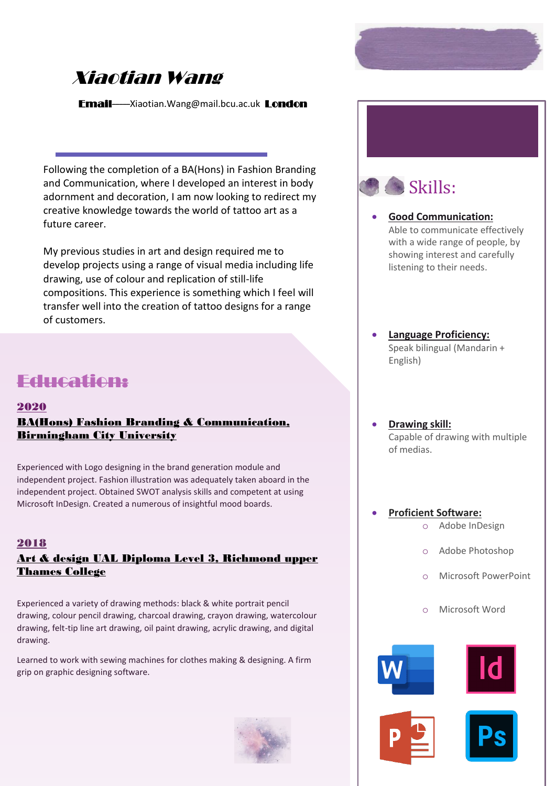# Xiaotian Wang

Email-----Xiaotian.Wang@mail.bcu.ac.uk London

Following the completion of a BA(Hons) in Fashion Branding and Communication, where I developed an interest in body adornment and decoration, I am now looking to redirect my creative knowledge towards the world of tattoo art as a future career.

My previous studies in art and design required me to develop projects using a range of visual media including life drawing, use of colour and replication of still-life compositions. This experience is something which I feel will transfer well into the creation of tattoo designs for a range of customers.

## Education:

#### 2020

## BA(Hons) Fashion Branding & Communication, Birmingham City University

Experienced with Logo designing in the brand generation module and independent project. Fashion illustration was adequately taken aboard in the independent project. Obtained SWOT analysis skills and competent at using Microsoft InDesign. Created a numerous of insightful mood boards.

#### 2018

## Art & design UAL Diploma Level 3, Richmond upper Thames College

Experienced a variety of drawing methods: black & white portrait pencil drawing, colour pencil drawing, charcoal drawing, crayon drawing, watercolour drawing, felt-tip line art drawing, oil paint drawing, acrylic drawing, and digital drawing.

Learned to work with sewing machines for clothes making & designing. A firm grip on graphic designing software.





- **Good Communication:**  Able to communicate effectively with a wide range of people, by showing interest and carefully listening to their needs.
- **Language Proficiency:** Speak bilingual (Mandarin + English)
- **Drawing skill:** Capable of drawing with multiple of medias.

## • **Proficient Software:**

- o Adobe InDesign
- o Adobe Photoshop
- **Microsoft PowerPoint**
- o Microsoft Word